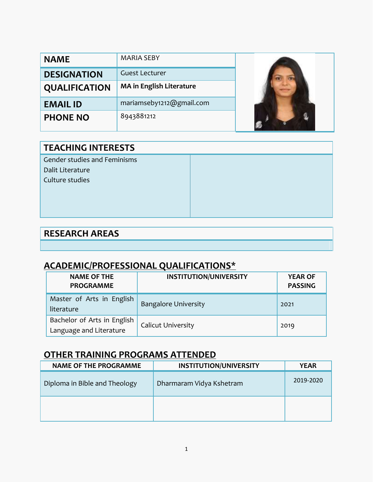| <b>NAME</b>          | <b>MARIA SEBY</b>               |  |
|----------------------|---------------------------------|--|
| <b>DESIGNATION</b>   | <b>Guest Lecturer</b>           |  |
| <b>QUALIFICATION</b> | <b>MA in English Literature</b> |  |
| <b>EMAIL ID</b>      | mariamseby1212@gmail.com        |  |
| <b>PHONE NO</b>      | 8943881212                      |  |

### **TEACHING INTERESTS**

Gender studies and Feminisms Dalit Literature Culture studies

### **RESEARCH AREAS**

### **ACADEMIC/PROFESSIONAL QUALIFICATIONS\***

| <b>NAME OF THE</b><br><b>PROGRAMME</b>                 | <b>INSTITUTION/UNIVERSITY</b> | <b>YEAR OF</b><br><b>PASSING</b> |
|--------------------------------------------------------|-------------------------------|----------------------------------|
| Master of Arts in English<br>literature                | <b>Bangalore University</b>   | 2021                             |
| Bachelor of Arts in English<br>Language and Literature | <b>Calicut University</b>     | 2019                             |

### **OTHER TRAINING PROGRAMS ATTENDED**

| <b>NAME OF THE PROGRAMME</b>  | <b>INSTITUTION/UNIVERSITY</b> | <b>YEAR</b> |
|-------------------------------|-------------------------------|-------------|
| Diploma in Bible and Theology | Dharmaram Vidya Kshetram      | 2019-2020   |
|                               |                               |             |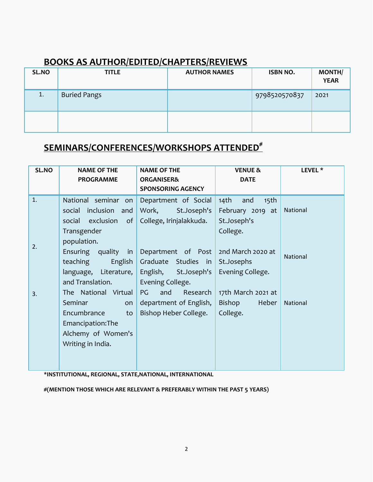### **BOOKS AS AUTHOR/EDITED/CHAPTERS/REVIEWS**

| SL.NO | <b>TITLE</b>        | <b>AUTHOR NAMES</b> | <b>ISBN NO.</b> | <b>MONTH/</b><br><b>YEAR</b> |
|-------|---------------------|---------------------|-----------------|------------------------------|
| 1.    | <b>Buried Pangs</b> |                     | 9798520570837   | 2021                         |
|       |                     |                     |                 |                              |

# **SEMINARS/CONFERENCES/WORKSHOPS ATTENDED#**

| <b>ORGANISER&amp;</b><br><b>DATE</b><br><b>PROGRAMME</b><br><b>SPONSORING AGENCY</b><br>1.<br>National seminar<br>Department of Social<br>14 <sup>th</sup><br>and<br>15 <sup>th</sup><br>on<br>National<br>inclusion and<br>Work,<br>St.Joseph's<br>February 2019 at<br>social<br>College, Irinjalakkuda.<br>exclusion<br>St.Joseph's<br>social<br>of<br>Transgender<br>College.<br>population.<br>2.<br>Ensuring<br>2nd March 2020 at<br>quality in<br>Department of Post<br><b>National</b><br>teaching<br>English<br>Graduate Studies in<br>St.Josephs<br>language, Literature,<br>English,<br>Evening College.<br>St.Joseph's<br>and Translation.<br>Evening College.<br>and<br>The National Virtual<br>PG<br>Research | SL.NO | LEVEL <sup>*</sup> | <b>VENUE &amp;</b> |
|----------------------------------------------------------------------------------------------------------------------------------------------------------------------------------------------------------------------------------------------------------------------------------------------------------------------------------------------------------------------------------------------------------------------------------------------------------------------------------------------------------------------------------------------------------------------------------------------------------------------------------------------------------------------------------------------------------------------------|-------|--------------------|--------------------|
|                                                                                                                                                                                                                                                                                                                                                                                                                                                                                                                                                                                                                                                                                                                            |       |                    |                    |
|                                                                                                                                                                                                                                                                                                                                                                                                                                                                                                                                                                                                                                                                                                                            |       |                    |                    |
| Seminar<br>department of English,<br>Heber<br>Bishop<br>National<br>on<br>Encumbrance<br>Bishop Heber College.<br>College.<br>to<br>Emancipation: The<br>Alchemy of Women's<br>Writing in India.                                                                                                                                                                                                                                                                                                                                                                                                                                                                                                                           | 3.    |                    | 17th March 2021 at |

**\*INSTITUTIONAL, REGIONAL, STATE,NATIONAL, INTERNATIONAL**

**#(MENTION THOSE WHICH ARE RELEVANT & PREFERABLY WITHIN THE PAST 5 YEARS)**